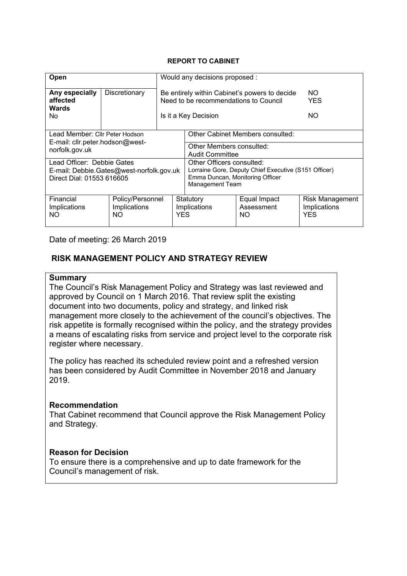#### **REPORT TO CABINET**

| Open                                                                                                |                                         | Would any decisions proposed : |                                                                                                                                                |                                   |                                                      |
|-----------------------------------------------------------------------------------------------------|-----------------------------------------|--------------------------------|------------------------------------------------------------------------------------------------------------------------------------------------|-----------------------------------|------------------------------------------------------|
| Any especially<br>affected<br><b>Wards</b>                                                          | Discretionary                           |                                | Be entirely within Cabinet's powers to decide<br>Need to be recommendations to Council                                                         |                                   | NO.<br><b>YES</b>                                    |
| No.                                                                                                 |                                         | NO.<br>Is it a Key Decision    |                                                                                                                                                |                                   |                                                      |
| Lead Member: Cllr Peter Hodson                                                                      |                                         |                                | Other Cabinet Members consulted:                                                                                                               |                                   |                                                      |
| E-mail: cllr.peter.hodson@west-<br>norfolk.gov.uk                                                   |                                         |                                | Other Members consulted:<br><b>Audit Committee</b>                                                                                             |                                   |                                                      |
| Lead Officer: Debbie Gates<br>E-mail: Debbie.Gates@west-norfolk.gov.uk<br>Direct Dial: 01553 616605 |                                         |                                | Other Officers consulted:<br>Lorraine Gore, Deputy Chief Executive (S151 Officer)<br>Emma Duncan, Monitoring Officer<br><b>Management Team</b> |                                   |                                                      |
| Financial<br>Implications<br>NO.                                                                    | Policy/Personnel<br>Implications<br>NO. | <b>YES</b>                     | Statutory<br>Implications                                                                                                                      | Equal Impact<br>Assessment<br>NO. | <b>Risk Management</b><br>Implications<br><b>YES</b> |

Date of meeting: 26 March 2019

### **RISK MANAGEMENT POLICY AND STRATEGY REVIEW**

#### **Summary**

The Council's Risk Management Policy and Strategy was last reviewed and approved by Council on 1 March 2016. That review split the existing document into two documents, policy and strategy, and linked risk management more closely to the achievement of the council's objectives. The risk appetite is formally recognised within the policy, and the strategy provides a means of escalating risks from service and project level to the corporate risk register where necessary.

The policy has reached its scheduled review point and a refreshed version has been considered by Audit Committee in November 2018 and January 2019.

#### **Recommendation**

That Cabinet recommend that Council approve the Risk Management Policy and Strategy.

#### **Reason for Decision**

To ensure there is a comprehensive and up to date framework for the Council's management of risk.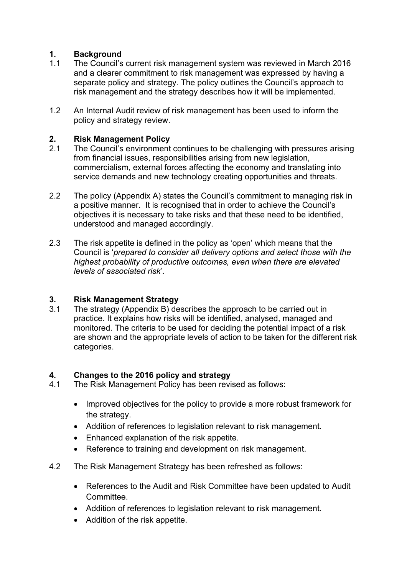# **1. Background**

- 1.1 The Council's current risk management system was reviewed in March 2016 and a clearer commitment to risk management was expressed by having a separate policy and strategy. The policy outlines the Council's approach to risk management and the strategy describes how it will be implemented.
- 1.2 An Internal Audit review of risk management has been used to inform the policy and strategy review.

# **2. Risk Management Policy**

- 2.1 The Council's environment continues to be challenging with pressures arising from financial issues, responsibilities arising from new legislation, commercialism, external forces affecting the economy and translating into service demands and new technology creating opportunities and threats.
- 2.2 The policy (Appendix A) states the Council's commitment to managing risk in a positive manner. It is recognised that in order to achieve the Council's objectives it is necessary to take risks and that these need to be identified, understood and managed accordingly.
- 2.3 The risk appetite is defined in the policy as 'open' which means that the Council is '*prepared to consider all delivery options and select those with the highest probability of productive outcomes, even when there are elevated levels of associated risk*'.

# **3. Risk Management Strategy**

3.1 The strategy (Appendix B) describes the approach to be carried out in practice. It explains how risks will be identified, analysed, managed and monitored. The criteria to be used for deciding the potential impact of a risk are shown and the appropriate levels of action to be taken for the different risk categories.

# **4. Changes to the 2016 policy and strategy**

- 4.1 The Risk Management Policy has been revised as follows:
	- Improved objectives for the policy to provide a more robust framework for the strategy.
	- Addition of references to legislation relevant to risk management.
	- Enhanced explanation of the risk appetite.
	- Reference to training and development on risk management.
- 4.2 The Risk Management Strategy has been refreshed as follows:
	- References to the Audit and Risk Committee have been updated to Audit Committee.
	- Addition of references to legislation relevant to risk management.
	- Addition of the risk appetite.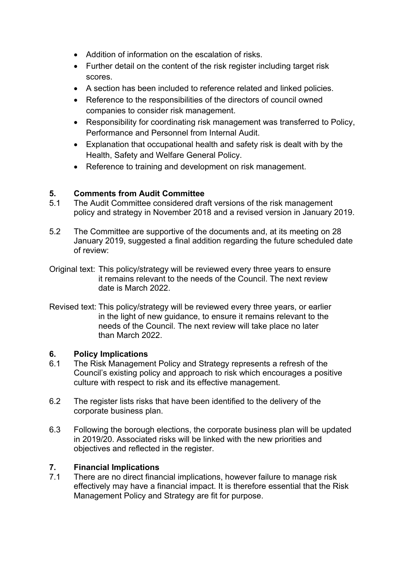- Addition of information on the escalation of risks.
- Further detail on the content of the risk register including target risk scores.
- A section has been included to reference related and linked policies.
- Reference to the responsibilities of the directors of council owned companies to consider risk management.
- Responsibility for coordinating risk management was transferred to Policy, Performance and Personnel from Internal Audit.
- Explanation that occupational health and safety risk is dealt with by the Health, Safety and Welfare General Policy.
- Reference to training and development on risk management.

# **5. Comments from Audit Committee**

- 5.1 The Audit Committee considered draft versions of the risk management policy and strategy in November 2018 and a revised version in January 2019.
- 5.2 The Committee are supportive of the documents and, at its meeting on 28 January 2019, suggested a final addition regarding the future scheduled date of review:
- Original text: This policy/strategy will be reviewed every three years to ensure it remains relevant to the needs of the Council. The next review date is March 2022.
- Revised text: This policy/strategy will be reviewed every three years, or earlier in the light of new guidance, to ensure it remains relevant to the needs of the Council. The next review will take place no later than March 2022.

# **6. Policy Implications**

- 6.1 The Risk Management Policy and Strategy represents a refresh of the Council's existing policy and approach to risk which encourages a positive culture with respect to risk and its effective management.
- 6.2 The register lists risks that have been identified to the delivery of the corporate business plan.
- 6.3 Following the borough elections, the corporate business plan will be updated in 2019/20. Associated risks will be linked with the new priorities and objectives and reflected in the register.

# **7. Financial Implications**

There are no direct financial implications, however failure to manage risk effectively may have a financial impact. It is therefore essential that the Risk Management Policy and Strategy are fit for purpose.